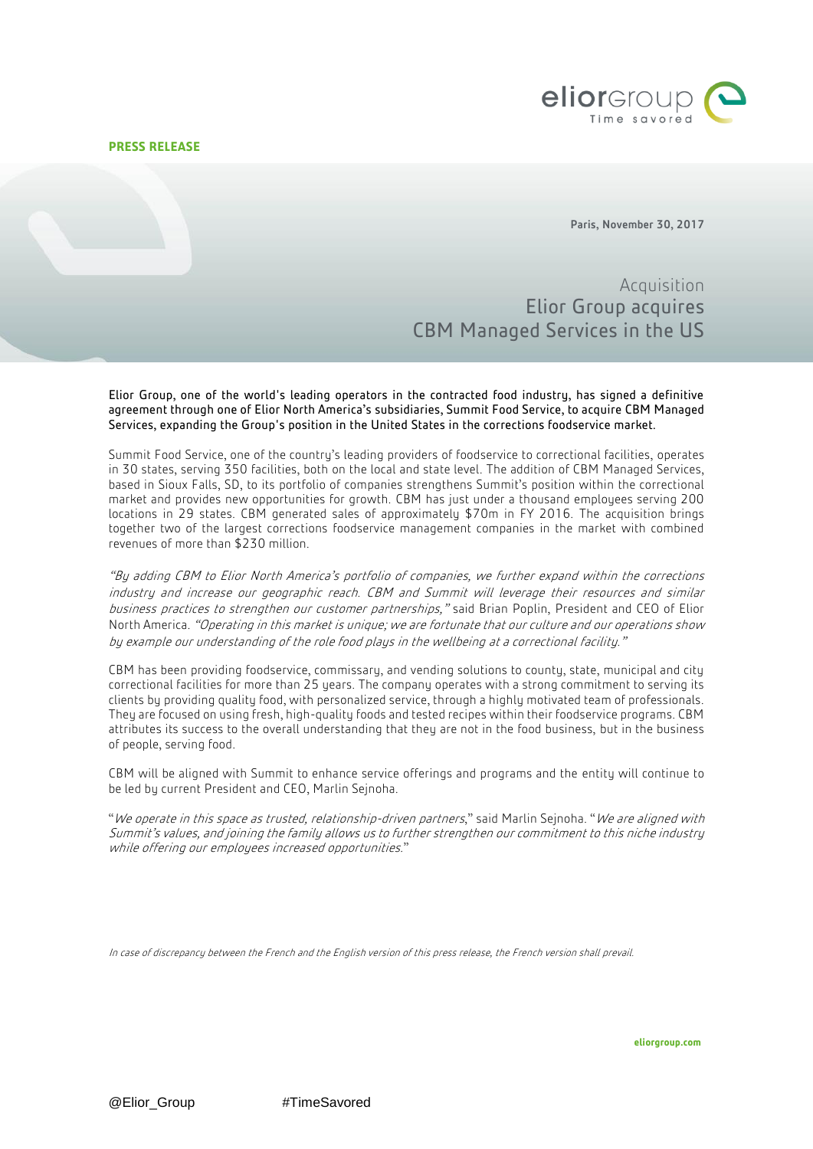# **PRESS RELEASE**



Paris, November 30, 2017

Acquisition Elior Group acquires CBM Managed Services in the US

Elior Group, one of the world's leading operators in the contracted food industry, has signed a definitive agreement through one of Elior North America's subsidiaries, Summit Food Service, to acquire CBM Managed Services, expanding the Group's position in the United States in the corrections foodservice market.

Summit Food Service, one of the country's leading providers of foodservice to correctional facilities, operates in 30 states, serving 350 facilities, both on the local and state level. The addition of CBM Managed Services, based in Sioux Falls, SD, to its portfolio of companies strengthens Summit's position within the correctional market and provides new opportunities for growth. CBM has just under a thousand employees serving 200 locations in 29 states. CBM generated sales of approximately \$70m in FY 2016. The acquisition brings together two of the largest corrections foodservice management companies in the market with combined revenues of more than \$230 million.

"By adding CBM to Elior North America's portfolio of companies, we further expand within the corrections industry and increase our geographic reach. CBM and Summit will leverage their resources and similar business practices to strengthen our customer partnerships," said Brian Poplin, President and CEO of Elior North America. "Operating in this market is unique; we are fortunate that our culture and our operations show by example our understanding of the role food plays in the wellbeing at a correctional facility."

CBM has been providing foodservice, commissary, and vending solutions to county, state, municipal and city correctional facilities for more than 25 years. The company operates with a strong commitment to serving its clients by providing quality food, with personalized service, through a highly motivated team of professionals. They are focused on using fresh, high-quality foods and tested recipes within their foodservice programs. CBM attributes its success to the overall understanding that they are not in the food business, but in the business of people, serving food.

CBM will be aligned with Summit to enhance service offerings and programs and the entity will continue to be led by current President and CEO, Marlin Sejnoha.

"We operate in this space as trusted, relationship-driven partners," said Marlin Sejnoha. "We are aligned with Summit's values, and joining the family allows us to further strengthen our commitment to this niche industry while offering our employees increased opportunities."

In case of discrepancy between the French and the English version of this press release, the French version shall prevail.

@Elior Group #TimeSavored